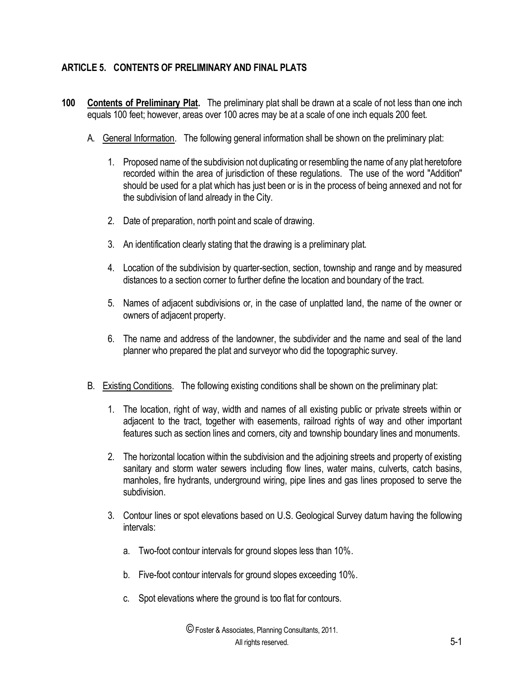# **ARTICLE 5. CONTENTS OF PRELIMINARY AND FINAL PLATS**

- **100 Contents of Preliminary Plat.** The preliminary plat shall be drawn at a scale of not less than one inch equals 100 feet; however, areas over 100 acres may be at a scale of one inch equals 200 feet.
	- A. General Information. The following general information shall be shown on the preliminary plat:
		- 1. Proposed name of the subdivision not duplicating or resembling the name of any plat heretofore recorded within the area of jurisdiction of these regulations. The use of the word "Addition" should be used for a plat which has just been or is in the process of being annexed and not for the subdivision of land already in the City.
		- 2. Date of preparation, north point and scale of drawing.
		- 3. An identification clearly stating that the drawing is a preliminary plat.
		- 4. Location of the subdivision by quarter-section, section, township and range and by measured distances to a section corner to further define the location and boundary of the tract.
		- 5. Names of adjacent subdivisions or, in the case of unplatted land, the name of the owner or owners of adjacent property.
		- 6. The name and address of the landowner, the subdivider and the name and seal of the land planner who prepared the plat and surveyor who did the topographic survey.
	- B. Existing Conditions. The following existing conditions shall be shown on the preliminary plat:
		- 1. The location, right of way, width and names of all existing public or private streets within or adjacent to the tract, together with easements, railroad rights of way and other important features such as section lines and corners, city and township boundary lines and monuments.
		- 2. The horizontal location within the subdivision and the adjoining streets and property of existing sanitary and storm water sewers including flow lines, water mains, culverts, catch basins, manholes, fire hydrants, underground wiring, pipe lines and gas lines proposed to serve the subdivision.
		- 3. Contour lines or spot elevations based on U.S. Geological Survey datum having the following intervals:
			- a. Two-foot contour intervals for ground slopes less than 10%.
			- b. Five-foot contour intervals for ground slopes exceeding 10%.
			- c. Spot elevations where the ground is too flat for contours.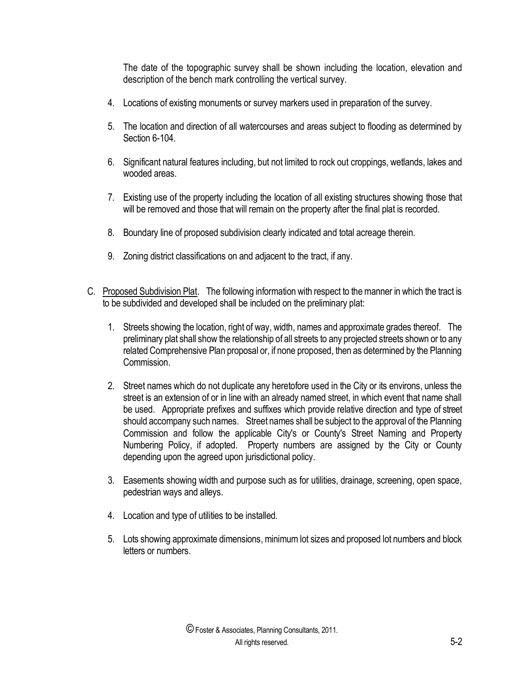The date of the topographic survey shall be shown including the location, elevation and description of the bench mark controlling the vertical survey.

- 4. Locations of existing monuments or survey markers used in preparation of the survey.
- 5. The location and direction of all watercourses and areas subject to flooding as determined by Section 6-104.
- 6. Significant natural features including, but not limited to rock out croppings, wetlands, lakes and wooded areas.
- 7. Existing use of the property including the location of all existing structures showing those that will be removed and those that will remain on the property after the final plat is recorded.
- 8. Boundary line of proposed subdivision clearly indicated and total acreage therein.
- 9. Zoning district classifications on and adjacent to the tract, if any.
- C. Proposed Subdivision Plat. The following information with respect to the manner in which the tract is to be subdivided and developed shall be included on the preliminary plat:
	- 1. Streets showing the location, right of way, width, names and approximate grades thereof. The preliminary plat shall show the relationship of all streets to any projected streets shown or to any related Comprehensive Plan proposal or, if none proposed, then as determined by the Planning Commission.
	- 2. Street names which do not duplicate any heretofore used in the City or its environs, unless the street is an extension of or in line with an already named street, in which event that name shall be used. Appropriate prefixes and suffixes which provide relative direction and type of street should accompany such names. Street names shall be subject to the approval of the Planning Commission and follow the applicable City's or County's Street Naming and Property Numbering Policy, if adopted. Property numbers are assigned by the City or County depending upon the agreed upon jurisdictional policy.
	- 3. Easements showing width and purpose such as for utilities, drainage, screening, open space, pedestrian ways and alleys.
	- 4. Location and type of utilities to be installed.
	- 5. Lots showing approximate dimensions, minimum lot sizes and proposed lot numbers and block letters or numbers.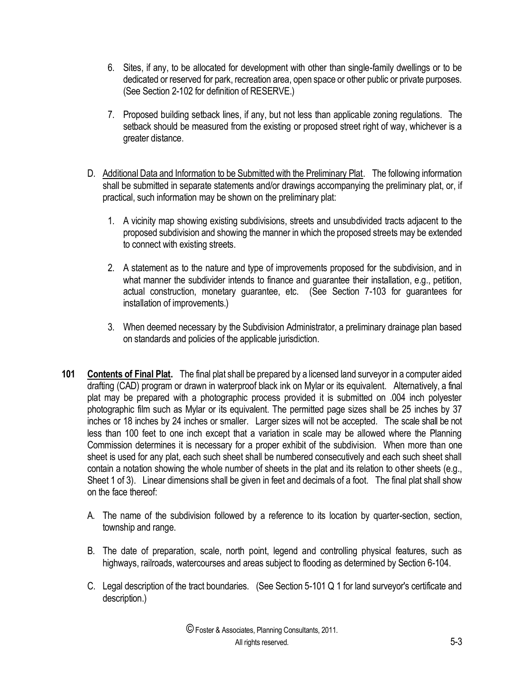- 6. Sites, if any, to be allocated for development with other than single-family dwellings or to be dedicated or reserved for park, recreation area, open space or other public or private purposes. (See Section 2-102 for definition of RESERVE.)
- 7. Proposed building setback lines, if any, but not less than applicable zoning regulations. The setback should be measured from the existing or proposed street right of way, whichever is a greater distance.
- D. Additional Data and Information to be Submitted with the Preliminary Plat. The following information shall be submitted in separate statements and/or drawings accompanying the preliminary plat, or, if practical, such information may be shown on the preliminary plat:
	- 1. A vicinity map showing existing subdivisions, streets and unsubdivided tracts adjacent to the proposed subdivision and showing the manner in which the proposed streets may be extended to connect with existing streets.
	- 2. A statement as to the nature and type of improvements proposed for the subdivision, and in what manner the subdivider intends to finance and guarantee their installation, e.g., petition, actual construction, monetary guarantee, etc. (See Section 7-103 for guarantees for installation of improvements.)
	- 3. When deemed necessary by the Subdivision Administrator, a preliminary drainage plan based on standards and policies of the applicable jurisdiction.
- **101 Contents of Final Plat.** The final plat shall be prepared by a licensed land surveyor in a computer aided drafting (CAD) program or drawn in waterproof black ink on Mylar or its equivalent. Alternatively, a final plat may be prepared with a photographic process provided it is submitted on .004 inch polyester photographic film such as Mylar or its equivalent. The permitted page sizes shall be 25 inches by 37 inches or 18 inches by 24 inches or smaller. Larger sizes will not be accepted. The scale shall be not less than 100 feet to one inch except that a variation in scale may be allowed where the Planning Commission determines it is necessary for a proper exhibit of the subdivision. When more than one sheet is used for any plat, each such sheet shall be numbered consecutively and each such sheet shall contain a notation showing the whole number of sheets in the plat and its relation to other sheets (e.g., Sheet 1 of 3). Linear dimensions shall be given in feet and decimals of a foot. The final plat shall show on the face thereof:
	- A. The name of the subdivision followed by a reference to its location by quarter-section, section, township and range.
	- B. The date of preparation, scale, north point, legend and controlling physical features, such as highways, railroads, watercourses and areas subject to flooding as determined by Section 6-104.
	- C. Legal description of the tract boundaries. (See Section 5-101 Q 1 for land surveyor's certificate and description.)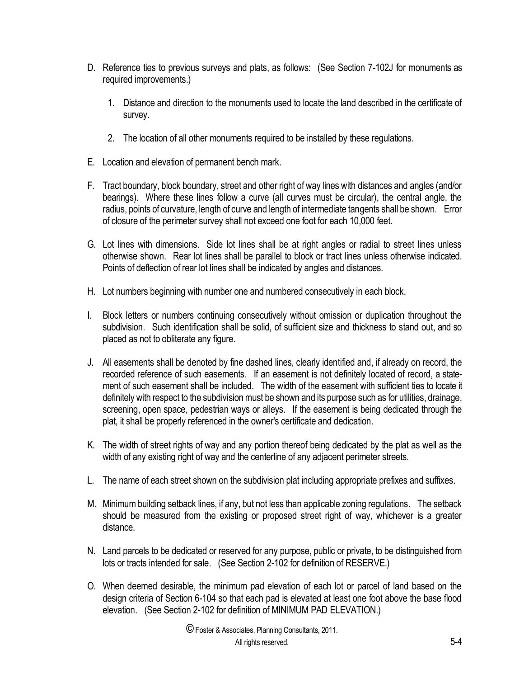- D. Reference ties to previous surveys and plats, as follows: (See Section 7-102J for monuments as required improvements.)
	- 1. Distance and direction to the monuments used to locate the land described in the certificate of survey.
	- 2. The location of all other monuments required to be installed by these regulations.
- E. Location and elevation of permanent bench mark.
- F. Tract boundary, block boundary, street and other right of way lines with distances and angles (and/or bearings). Where these lines follow a curve (all curves must be circular), the central angle, the radius, points of curvature, length of curve and length of intermediate tangents shall be shown. Error of closure of the perimeter survey shall not exceed one foot for each 10,000 feet.
- G. Lot lines with dimensions. Side lot lines shall be at right angles or radial to street lines unless otherwise shown. Rear lot lines shall be parallel to block or tract lines unless otherwise indicated. Points of deflection of rear lot lines shall be indicated by angles and distances.
- H. Lot numbers beginning with number one and numbered consecutively in each block.
- I. Block letters or numbers continuing consecutively without omission or duplication throughout the subdivision. Such identification shall be solid, of sufficient size and thickness to stand out, and so placed as not to obliterate any figure.
- J. All easements shall be denoted by fine dashed lines, clearly identified and, if already on record, the recorded reference of such easements. If an easement is not definitely located of record, a statement of such easement shall be included. The width of the easement with sufficient ties to locate it definitely with respect to the subdivision must be shown and its purpose such as for utilities, drainage, screening, open space, pedestrian ways or alleys. If the easement is being dedicated through the plat, it shall be properly referenced in the owner's certificate and dedication.
- K. The width of street rights of way and any portion thereof being dedicated by the plat as well as the width of any existing right of way and the centerline of any adjacent perimeter streets.
- L. The name of each street shown on the subdivision plat including appropriate prefixes and suffixes.
- M. Minimum building setback lines, if any, but not less than applicable zoning regulations. The setback should be measured from the existing or proposed street right of way, whichever is a greater distance.
- N. Land parcels to be dedicated or reserved for any purpose, public or private, to be distinguished from lots or tracts intended for sale. (See Section 2-102 for definition of RESERVE.)
- O. When deemed desirable, the minimum pad elevation of each lot or parcel of land based on the design criteria of Section 6-104 so that each pad is elevated at least one foot above the base flood elevation. (See Section 2-102 for definition of MINIMUM PAD ELEVATION.)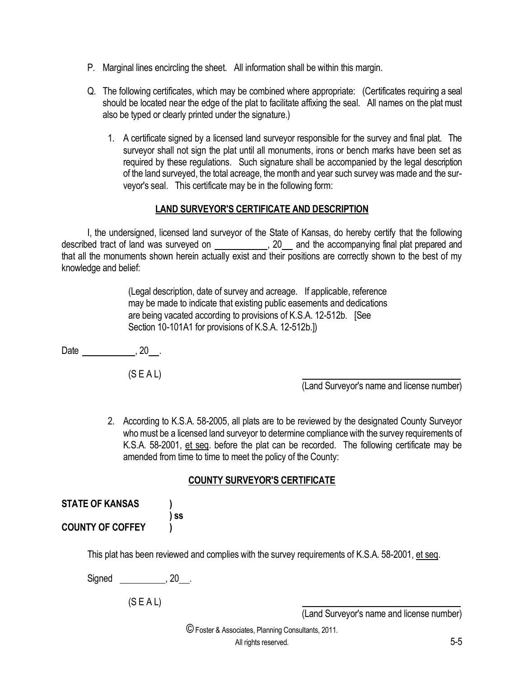- P. Marginal lines encircling the sheet. All information shall be within this margin.
- Q. The following certificates, which may be combined where appropriate: (Certificates requiring a seal should be located near the edge of the plat to facilitate affixing the seal. All names on the plat must also be typed or clearly printed under the signature.)
	- 1. A certificate signed by a licensed land surveyor responsible for the survey and final plat. The surveyor shall not sign the plat until all monuments, irons or bench marks have been set as required by these regulations. Such signature shall be accompanied by the legal description of the land surveyed, the total acreage, the month and year such survey was made and the surveyor's seal. This certificate may be in the following form:

#### **LAND SURVEYOR'S CERTIFICATE AND DESCRIPTION**

I, the undersigned, licensed land surveyor of the State of Kansas, do hereby certify that the following described tract of land was surveyed on , 20 and the accompanying final plat prepared and that all the monuments shown herein actually exist and their positions are correctly shown to the best of my knowledge and belief:

> (Legal description, date of survey and acreage. If applicable, reference may be made to indicate that existing public easements and dedications are being vacated according to provisions of K.S.A. 12-512b. [See Section 10-101A1 for provisions of K.S.A. 12-512b.])

Date , 20 .

(S E A L)

(Land Surveyor's name and license number)

2. According to K.S.A. 58-2005, all plats are to be reviewed by the designated County Surveyor who must be a licensed land surveyor to determine compliance with the survey requirements of K.S.A. 58-2001, et seq. before the plat can be recorded. The following certificate may be amended from time to time to meet the policy of the County:

#### **COUNTY SURVEYOR'S CERTIFICATE**

| <b>STATE OF KANSAS</b>  |      |
|-------------------------|------|
|                         | ) SS |
| <b>COUNTY OF COFFEY</b> |      |

This plat has been reviewed and complies with the survey requirements of K.S.A. 58-2001, et seq.

Signed . 20 .

 $(S E A L)$ 

(Land Surveyor's name and license number)

©Foster & Associates, Planning Consultants, 2011.

All rights reserved. 5-5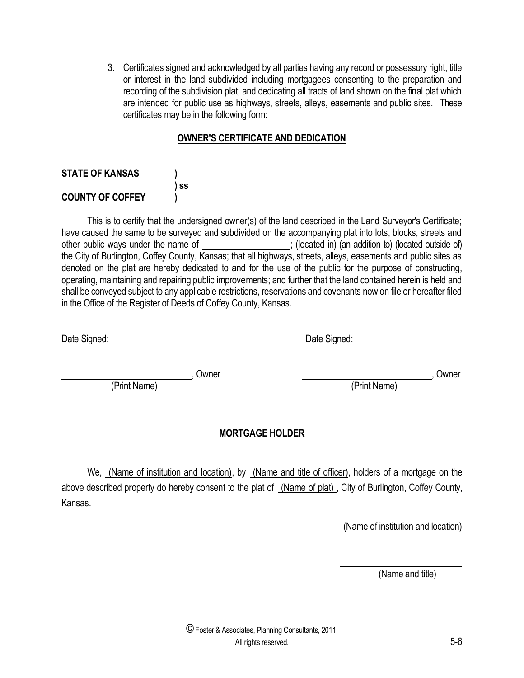3. Certificates signed and acknowledged by all parties having any record or possessory right, title or interest in the land subdivided including mortgagees consenting to the preparation and recording of the subdivision plat; and dedicating all tracts of land shown on the final plat which are intended for public use as highways, streets, alleys, easements and public sites. These certificates may be in the following form:

# **OWNER'S CERTIFICATE AND DEDICATION**

## **STATE OF KANSAS ) ) ss COUNTY OF COFFEY )**

This is to certify that the undersigned owner(s) of the land described in the Land Surveyor's Certificate; have caused the same to be surveyed and subdivided on the accompanying plat into lots, blocks, streets and other public ways under the name of  $\qquad$ ; (located in) (an addition to) (located outside of) the City of Burlington, Coffey County, Kansas; that all highways, streets, alleys, easements and public sites as denoted on the plat are hereby dedicated to and for the use of the public for the purpose of constructing, operating, maintaining and repairing public improvements; and further that the land contained herein is held and shall be conveyed subject to any applicable restrictions, reservations and covenants now on file or hereafter filed in the Office of the Register of Deeds of Coffey County, Kansas.

| Date Signed: |
|--------------|
|--------------|

Date Signed:

 , Owner , Owner (Print Name) (Print Name)

# **MORTGAGE HOLDER**

We, (Name of institution and location), by (Name and title of officer), holders of a mortgage on the above described property do hereby consent to the plat of (Name of plat), City of Burlington, Coffey County, Kansas.

(Name of institution and location)

(Name and title)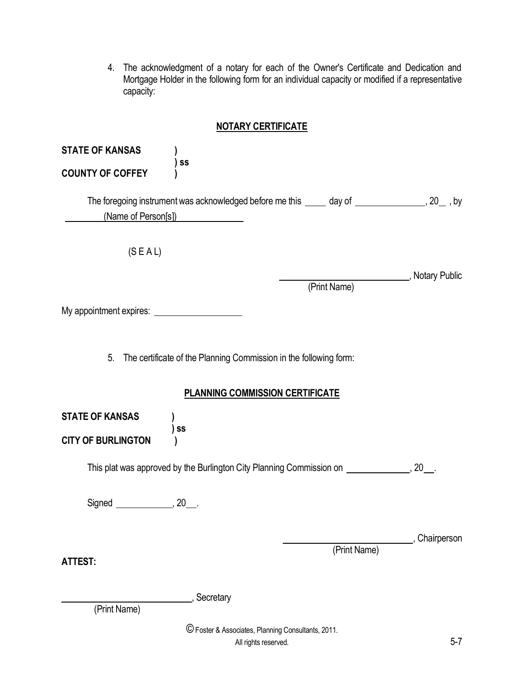4. The acknowledgment of a notary for each of the Owner's Certificate and Dedication and Mortgage Holder in the following form for an individual capacity or modified if a representative capacity:

# **NOTARY CERTIFICATE**

| <b>STATE OF KANSAS</b><br><b>COUNTY OF COFFEY</b>   | SS                                                                                                                     |               |
|-----------------------------------------------------|------------------------------------------------------------------------------------------------------------------------|---------------|
|                                                     | The foregoing instrument was acknowledged before me this _____ day of ________________, 20_, by<br>(Name of Person[s]) |               |
| (S E AL)                                            | (Print Name)                                                                                                           | Notary Public |
|                                                     |                                                                                                                        |               |
|                                                     | 5. The certificate of the Planning Commission in the following form:                                                   |               |
|                                                     | <b>PLANNING COMMISSION CERTIFICATE</b>                                                                                 |               |
| <b>STATE OF KANSAS</b><br><b>CITY OF BURLINGTON</b> | ) ss                                                                                                                   |               |
|                                                     | This plat was approved by the Burlington City Planning Commission on _____________, 20__.                              |               |
| Signed _______________, 20___.                      |                                                                                                                        |               |
| <b>ATTEST:</b>                                      | (Print Name)                                                                                                           | Chairperson   |
| (Print Name)                                        | Secretary                                                                                                              |               |
|                                                     | © Foster & Associates, Planning Consultants, 2011.<br>All rights reserved.                                             | $5 - 7$       |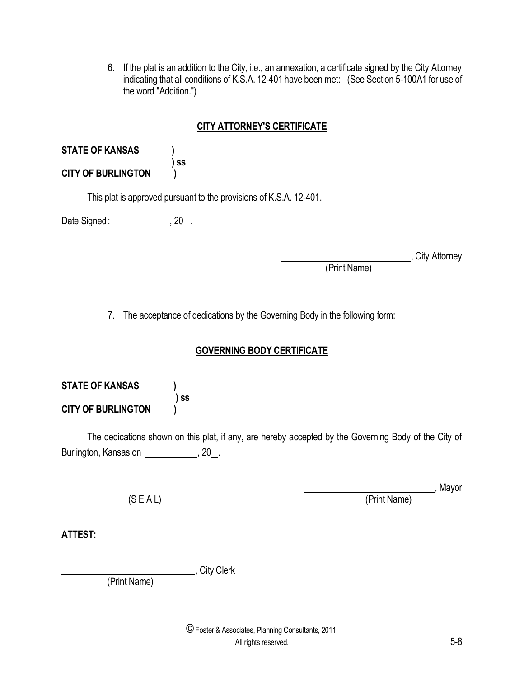6. If the plat is an addition to the City, i.e., an annexation, a certificate signed by the City Attorney indicating that all conditions of K.S.A. 12-401 have been met: (See Section 5-100A1 for use of the word "Addition.")

# **CITY ATTORNEY'S CERTIFICATE**

| <b>STATE OF KANSAS</b>    |      |
|---------------------------|------|
|                           | ) SS |
| <b>CITY OF BURLINGTON</b> |      |

This plat is approved pursuant to the provisions of K.S.A. 12-401.

Date Signed : \_\_\_\_\_\_\_\_\_\_\_\_\_\_\_, 20\_.

City Attorney

(Print Name)

7. The acceptance of dedications by the Governing Body in the following form:

# **GOVERNING BODY CERTIFICATE**

**STATE OF KANSAS ) ) ss CITY OF BURLINGTON )**

The dedications shown on this plat, if any, are hereby accepted by the Governing Body of the City of Burlington, Kansas on **constructs**, 20 ...

, Mayor

(S E A L) (Print Name)

**ATTEST:**

, City Clerk

(Print Name)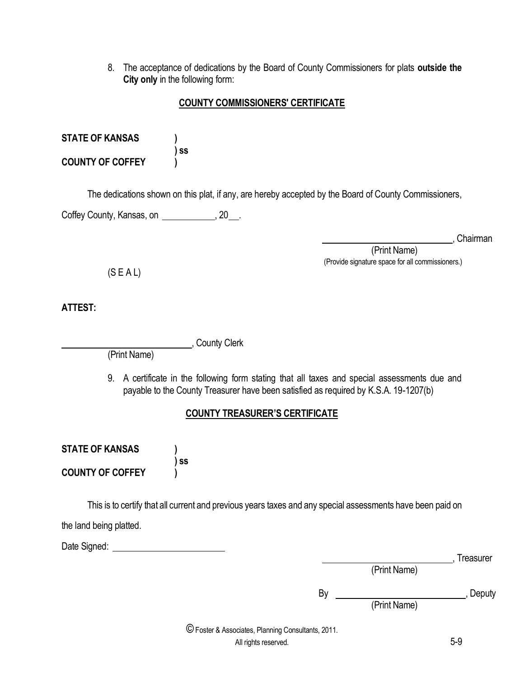8. The acceptance of dedications by the Board of County Commissioners for plats **outside the City only** in the following form:

### **COUNTY COMMISSIONERS' CERTIFICATE**

| <b>STATE OF KANSAS</b> |      |
|------------------------|------|
|                        | ) SS |

**COUNTY OF COFFEY )**

The dedications shown on this plat, if any, are hereby accepted by the Board of County Commissioners,

Coffey County, Kansas, on **compared Exercise** 20 ...

, Chairman

 (Print Name) (Provide signature space for all commissioners.)

 $(S E A L)$ 

**ATTEST:**

(Print Name)

**County Clerk** 

9. A certificate in the following form stating that all taxes and special assessments due and payable to the County Treasurer have been satisfied as required by K.S.A. 19-1207(b)

# **COUNTY TREASURER'S CERTIFICATE**

**STATE OF KANSAS ) ) ss COUNTY OF COFFEY )**

This is to certify that all current and previous years taxes and any special assessments have been paid on

the land being platted.

Date Signed: **Date Signed:** 

|  |  | i reasurer |
|--|--|------------|
|  |  |            |

(Print Name)

By , Deputy

(Print Name)

©Foster & Associates, Planning Consultants, 2011.

All rights reserved. 5-9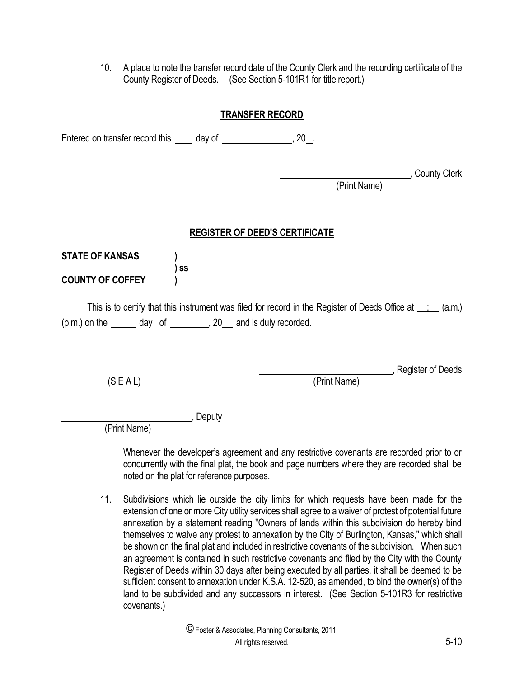10. A place to note the transfer record date of the County Clerk and the recording certificate of the County Register of Deeds. (See Section 5-101R1 for title report.)

#### **TRANSFER RECORD**

Entered on transfer record this \_\_\_\_ day of \_\_\_\_\_\_\_\_\_\_\_\_\_\_\_, 20\_.

Lackson Clerk, County Clerk

, Register of Deeds

(Print Name)

## **REGISTER OF DEED'S CERTIFICATE**

| <b>STATE OF KANSAS</b>  |                                                                                                                     |
|-------------------------|---------------------------------------------------------------------------------------------------------------------|
| <b>COUNTY OF COFFEY</b> | ) SS                                                                                                                |
|                         | This is to certify that this instrument was filed for record in the Register of Deeds Office at $\therefore$ (a.m.) |
|                         | $(p.m.)$ on the $\qquad \qquad$ day of $\qquad \qquad$ , 20 and is duly recorded.                                   |

(S E A L) (Print Name)

, Deputy

(Print Name)

Whenever the developer's agreement and any restrictive covenants are recorded prior to or concurrently with the final plat, the book and page numbers where they are recorded shall be noted on the plat for reference purposes.

11. Subdivisions which lie outside the city limits for which requests have been made for the extension of one or more City utility services shall agree to a waiver of protest of potential future annexation by a statement reading "Owners of lands within this subdivision do hereby bind themselves to waive any protest to annexation by the City of Burlington, Kansas," which shall be shown on the final plat and included in restrictive covenants of the subdivision. When such an agreement is contained in such restrictive covenants and filed by the City with the County Register of Deeds within 30 days after being executed by all parties, it shall be deemed to be sufficient consent to annexation under K.S.A. 12-520, as amended, to bind the owner(s) of the land to be subdivided and any successors in interest. (See Section 5-101R3 for restrictive covenants.)